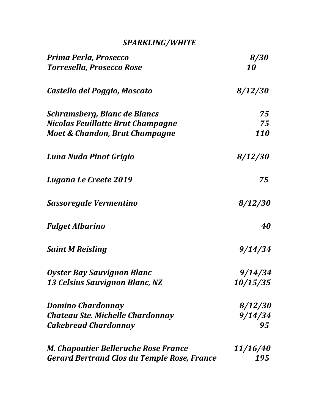# *SPARKLING/WHITE*

| Prima Perla, Prosecco                       | <i>8/30</i>            |
|---------------------------------------------|------------------------|
| <b>Torresella, Prosecco Rose</b>            | 10                     |
| Castello del Poggio, Moscato                | 8/12/30                |
| Schramsberg, Blanc de Blancs                | 75                     |
| Nicolas Feuillatte Brut Champagne           | 75                     |
| Moet & Chandon, Brut Champagne              | 110                    |
| Luna Nuda Pinot Grigio                      | <i>8/12/30</i>         |
| <b>Lugana Le Creete 2019</b>                | 75                     |
| Sassoregale Vermentino                      | <i>8/12/30</i>         |
| <b>Fulget Albarino</b>                      | 40                     |
| <b>Saint M Reisling</b>                     | 9/14/34                |
| Oyster Bay Sauvignon Blanc                  | 9/14/34                |
| 13 Celsius Sauvignon Blanc, NZ              | <i><b>10/15/35</b></i> |
| <b>Domino Chardonnay</b>                    | <i>8/12/30</i>         |
| Chateau Ste. Michelle Chardonnay            | 9/14/34                |
| <b>Cakebread Chardonnay</b>                 | 95                     |
| M. Chapoutier Belleruche Rose France        | <i><b>11/16/40</b></i> |
| Gerard Bertrand Clos du Temple Rose, France | 195                    |
|                                             |                        |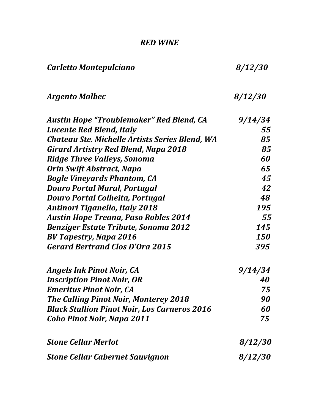# *RED WINE*

| Carletto Montepulciano                              | 8/12/30        |
|-----------------------------------------------------|----------------|
| <b>Argento Malbec</b>                               | 8/12/30        |
| Austin Hope "Troublemaker" Red Blend, CA            | 9/14/34        |
| <b>Lucente Red Blend, Italy</b>                     | 55             |
| Chateau Ste. Michelle Artists Series Blend, WA      | 85             |
| Girard Artistry Red Blend, Napa 2018                | 85             |
| <b>Ridge Three Valleys, Sonoma</b>                  | 60             |
| Orin Swift Abstract, Napa                           | 65             |
| <b>Bogle Vineyards Phantom, CA</b>                  | 45             |
| <b>Douro Portal Mural, Portugal</b>                 | 42             |
| Douro Portal Colheita, Portugal                     | 48             |
| <b>Antinori Tiganello, Italy 2018</b>               | 195            |
| <b>Austin Hope Treana, Paso Robles 2014</b>         | 55             |
| <b>Benziger Estate Tribute, Sonoma 2012</b>         | 145            |
| <b>BV Tapestry, Napa 2016</b>                       | 150            |
| <b>Gerard Bertrand Clos D'Ora 2015</b>              | 395            |
| <b>Angels Ink Pinot Noir, CA</b>                    | 9/14/34        |
| <b>Inscription Pinot Noir, OR</b>                   | 40             |
| <b>Emeritus Pinot Noir, CA</b>                      | 75             |
| The Calling Pinot Noir, Monterey 2018               | 90             |
| <b>Black Stallion Pinot Noir, Los Carneros 2016</b> | 60             |
| Coho Pinot Noir, Napa 2011                          | 75             |
| <b>Stone Cellar Merlot</b>                          | <i>8/12/30</i> |
| <b>Stone Cellar Cabernet Sauvignon</b>              | 8/12/30        |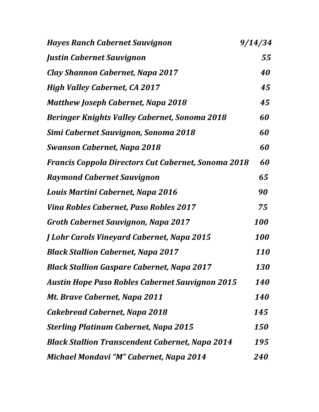| <b>Hayes Ranch Cabernet Sauvignon</b>                      | 9/14/34           |
|------------------------------------------------------------|-------------------|
| Justin Cabernet Sauvignon                                  | 55                |
| Clay Shannon Cabernet, Napa 2017                           | 40                |
| <b>High Valley Cabernet, CA 2017</b>                       | 45                |
| <b>Matthew Joseph Cabernet, Napa 2018</b>                  | 45                |
| <b>Beringer Knights Valley Cabernet, Sonoma 2018</b>       | 60                |
| Simi Cabernet Sauvignon, Sonoma 2018                       | 60                |
| <b>Swanson Cabernet, Napa 2018</b>                         | 60                |
| <b>Francis Coppola Directors Cut Cabernet, Sonoma 2018</b> | 60                |
| <b>Raymond Cabernet Sauvignon</b>                          | 65                |
| Louis Martini Cabernet, Napa 2016                          | 90                |
| <b>Vina Robles Cabernet, Paso Robles 2017</b>              | 75                |
| <b>Groth Cabernet Sauvignon, Napa 2017</b>                 | 100               |
| <b>J Lohr Carols Vineyard Cabernet, Napa 2015</b>          | 100               |
| <b>Black Stallion Cabernet, Napa 2017</b>                  | <b>110</b>        |
| <b>Black Stallion Gaspare Cabernet, Napa 2017</b>          | <b>130</b>        |
| <b>Austin Hope Paso Robles Cabernet Sauvignon 2015</b>     | <b>140</b>        |
| Mt. Brave Cabernet, Napa 2011                              | <b>140</b>        |
| Cakebread Cabernet, Napa 2018                              | 145               |
| <b>Sterling Platinum Cabernet, Napa 2015</b>               | <i><b>150</b></i> |
| <b>Black Stallion Transcendent Cabernet, Napa 2014</b>     | 195               |
| Michael Mondavi "M" Cabernet, Napa 2014                    | <i><b>240</b></i> |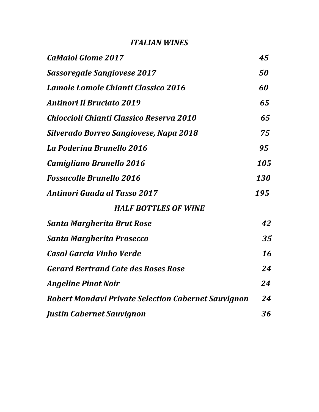# *ITALIAN WINES*

| <b>CaMaiol Giome 2017</b>                                  | 45  |
|------------------------------------------------------------|-----|
| <b>Sassoregale Sangiovese 2017</b>                         | 50  |
| Lamole Lamole Chianti Classico 2016                        | 60  |
| <b>Antinori Il Bruciato 2019</b>                           | 65  |
| Chioccioli Chianti Classico Reserva 2010                   | 65  |
| Silverado Borreo Sangiovese, Napa 2018                     | 75  |
| La Poderina Brunello 2016                                  | 95  |
| Camigliano Brunello 2016                                   | 105 |
| <b>Fossacolle Brunello 2016</b>                            | 130 |
| <b>Antinori Guada al Tasso 2017</b>                        | 195 |
| <b>HALF BOTTLES OF WINE</b>                                |     |
| Santa Margherita Brut Rose                                 | 42  |
| <b>Santa Margherita Prosecco</b>                           | 35  |
| Casal Garcia Vinho Verde                                   | 16  |
| <b>Gerard Bertrand Cote des Roses Rose</b>                 | 24  |
| <b>Angeline Pinot Noir</b>                                 | 24  |
| <b>Robert Mondavi Private Selection Cabernet Sauvignon</b> | 24  |
| Justin Cabernet Sauvignon                                  | 36  |
|                                                            |     |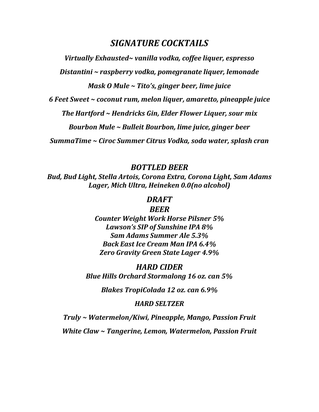# *SIGNATURE COCKTAILS*

*Virtually Exhausted~ vanilla vodka, coffee liquer, espresso*

*Distantini ~ raspberry vodka, pomegranate liquer, lemonade*

*Mask O Mule ~ Tito's, ginger beer, lime juice*

*6 Feet Sweet ~ coconut rum, melon liquer, amaretto, pineapple juice*

*The Hartford ~ Hendricks Gin, Elder Flower Liquer, sour mix*

*Bourbon Mule ~ Bulleit Bourbon, lime juice, ginger beer*

*SummaTime ~ Ciroc Summer Citrus Vodka, soda water, splash cran*

*BOTTLED BEER* 

*Bud, Bud Light, Stella Artois, Corona Extra, Corona Light, Sam Adams Lager, Mich Ultra, Heineken 0.0(no alcohol)*

### *DRAFT*

#### *BEER*

*Counter Weight Work Horse Pilsner 5% Lawson's SIP of Sunshine IPA 8% Sam Adams Summer Ale 5.3% Back East Ice Cream Man IPA 6.4% Zero Gravity Green State Lager 4.9%*

*HARD CIDER Blue Hills Orchard Stormalong 16 oz. can 5%*

*Blakes TropiColada 12 oz. can 6.9%*

#### *HARD SELTZER*

*Truly ~ Watermelon/Kiwi, Pineapple, Mango, Passion Fruit White Claw ~ Tangerine, Lemon, Watermelon, Passion Fruit*